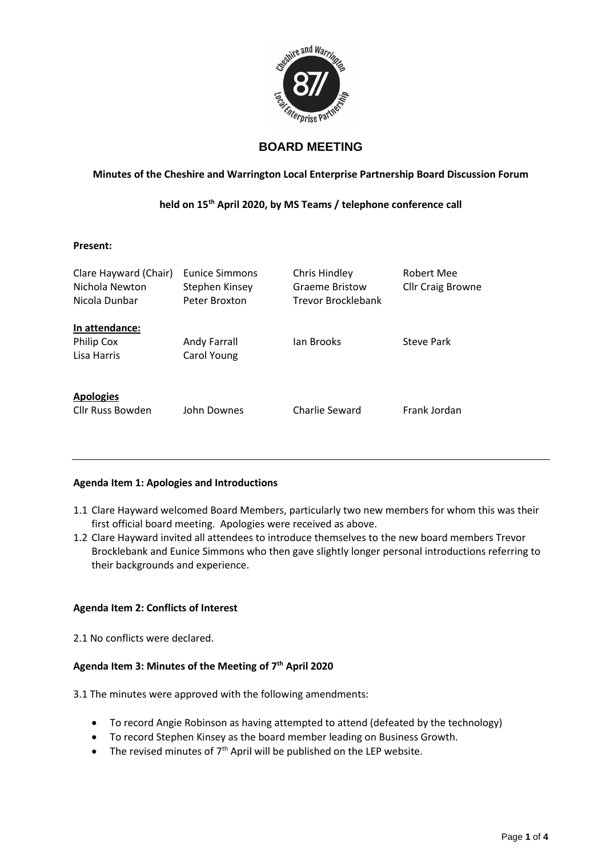

# **BOARD MEETING**

# **Minutes of the Cheshire and Warrington Local Enterprise Partnership Board Discussion Forum**

# **held on 15th April 2020, by MS Teams / telephone conference call**

#### **Present:**

| Clare Hayward (Chair)<br>Nichola Newton<br>Nicola Dunbar | Eunice Simmons<br>Stephen Kinsey<br>Peter Broxton | Chris Hindley<br><b>Graeme Bristow</b><br><b>Trevor Brocklebank</b> | Robert Mee<br><b>Cllr Craig Browne</b> |
|----------------------------------------------------------|---------------------------------------------------|---------------------------------------------------------------------|----------------------------------------|
| In attendance:<br><b>Philip Cox</b><br>Lisa Harris       | Andy Farrall<br>Carol Young                       | lan Brooks                                                          | Steve Park                             |
| <b>Apologies</b><br>Cllr Russ Bowden                     | John Downes                                       | Charlie Seward                                                      | Frank Jordan                           |

# **Agenda Item 1: Apologies and Introductions**

- 1.1 Clare Hayward welcomed Board Members, particularly two new members for whom this was their first official board meeting. Apologies were received as above.
- 1.2 Clare Hayward invited all attendees to introduce themselves to the new board members Trevor Brocklebank and Eunice Simmons who then gave slightly longer personal introductions referring to their backgrounds and experience.

# **Agenda Item 2: Conflicts of Interest**

2.1 No conflicts were declared.

# **Agenda Item 3: Minutes of the Meeting of 7th April 2020**

3.1 The minutes were approved with the following amendments:

- To record Angie Robinson as having attempted to attend (defeated by the technology)
- To record Stephen Kinsey as the board member leading on Business Growth.
- The revised minutes of  $7<sup>th</sup>$  April will be published on the LEP website.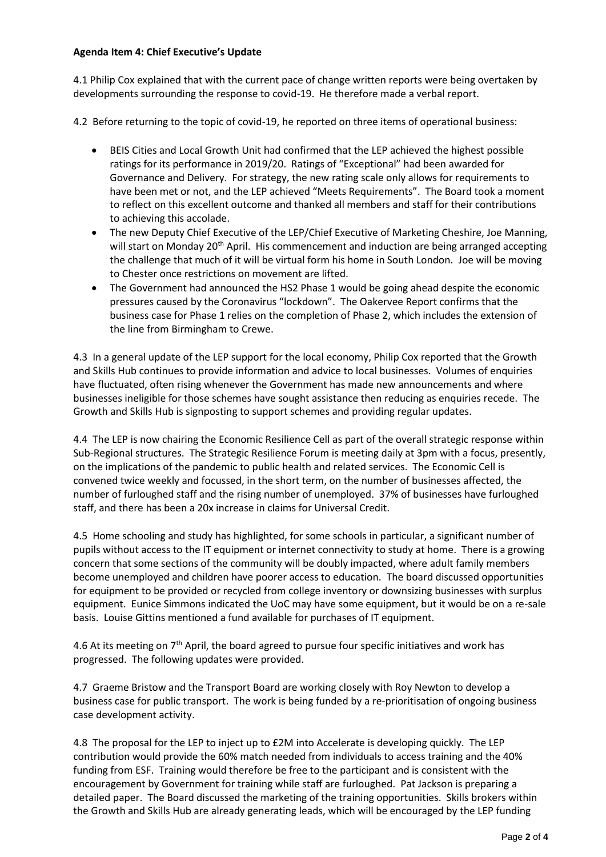#### **Agenda Item 4: Chief Executive's Update**

4.1 Philip Cox explained that with the current pace of change written reports were being overtaken by developments surrounding the response to covid-19. He therefore made a verbal report.

4.2 Before returning to the topic of covid-19, he reported on three items of operational business:

- BEIS Cities and Local Growth Unit had confirmed that the LEP achieved the highest possible ratings for its performance in 2019/20. Ratings of "Exceptional" had been awarded for Governance and Delivery. For strategy, the new rating scale only allows for requirements to have been met or not, and the LEP achieved "Meets Requirements". The Board took a moment to reflect on this excellent outcome and thanked all members and staff for their contributions to achieving this accolade.
- The new Deputy Chief Executive of the LEP/Chief Executive of Marketing Cheshire, Joe Manning, will start on Monday 20<sup>th</sup> April. His commencement and induction are being arranged accepting the challenge that much of it will be virtual form his home in South London. Joe will be moving to Chester once restrictions on movement are lifted.
- The Government had announced the HS2 Phase 1 would be going ahead despite the economic pressures caused by the Coronavirus "lockdown". The Oakervee Report confirms that the business case for Phase 1 relies on the completion of Phase 2, which includes the extension of the line from Birmingham to Crewe.

4.3 In a general update of the LEP support for the local economy, Philip Cox reported that the Growth and Skills Hub continues to provide information and advice to local businesses. Volumes of enquiries have fluctuated, often rising whenever the Government has made new announcements and where businesses ineligible for those schemes have sought assistance then reducing as enquiries recede. The Growth and Skills Hub is signposting to support schemes and providing regular updates.

4.4 The LEP is now chairing the Economic Resilience Cell as part of the overall strategic response within Sub-Regional structures. The Strategic Resilience Forum is meeting daily at 3pm with a focus, presently, on the implications of the pandemic to public health and related services. The Economic Cell is convened twice weekly and focussed, in the short term, on the number of businesses affected, the number of furloughed staff and the rising number of unemployed. 37% of businesses have furloughed staff, and there has been a 20x increase in claims for Universal Credit.

4.5 Home schooling and study has highlighted, for some schools in particular, a significant number of pupils without access to the IT equipment or internet connectivity to study at home. There is a growing concern that some sections of the community will be doubly impacted, where adult family members become unemployed and children have poorer access to education. The board discussed opportunities for equipment to be provided or recycled from college inventory or downsizing businesses with surplus equipment. Eunice Simmons indicated the UoC may have some equipment, but it would be on a re-sale basis. Louise Gittins mentioned a fund available for purchases of IT equipment.

4.6 At its meeting on  $7<sup>th</sup>$  April, the board agreed to pursue four specific initiatives and work has progressed. The following updates were provided.

4.7 Graeme Bristow and the Transport Board are working closely with Roy Newton to develop a business case for public transport. The work is being funded by a re-prioritisation of ongoing business case development activity.

4.8 The proposal for the LEP to inject up to £2M into Accelerate is developing quickly. The LEP contribution would provide the 60% match needed from individuals to access training and the 40% funding from ESF. Training would therefore be free to the participant and is consistent with the encouragement by Government for training while staff are furloughed. Pat Jackson is preparing a detailed paper. The Board discussed the marketing of the training opportunities. Skills brokers within the Growth and Skills Hub are already generating leads, which will be encouraged by the LEP funding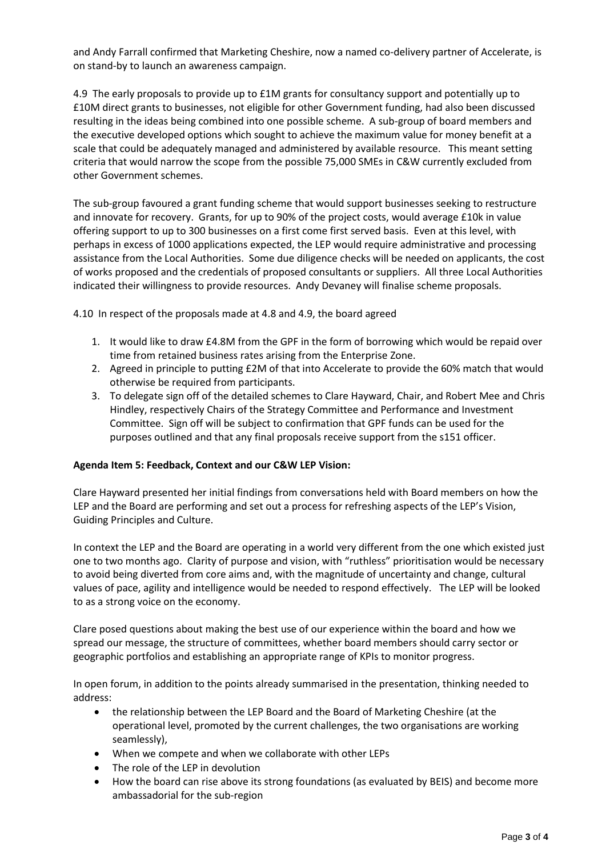and Andy Farrall confirmed that Marketing Cheshire, now a named co-delivery partner of Accelerate, is on stand-by to launch an awareness campaign.

4.9 The early proposals to provide up to £1M grants for consultancy support and potentially up to £10M direct grants to businesses, not eligible for other Government funding, had also been discussed resulting in the ideas being combined into one possible scheme. A sub-group of board members and the executive developed options which sought to achieve the maximum value for money benefit at a scale that could be adequately managed and administered by available resource. This meant setting criteria that would narrow the scope from the possible 75,000 SMEs in C&W currently excluded from other Government schemes.

The sub-group favoured a grant funding scheme that would support businesses seeking to restructure and innovate for recovery. Grants, for up to 90% of the project costs, would average £10k in value offering support to up to 300 businesses on a first come first served basis. Even at this level, with perhaps in excess of 1000 applications expected, the LEP would require administrative and processing assistance from the Local Authorities. Some due diligence checks will be needed on applicants, the cost of works proposed and the credentials of proposed consultants or suppliers. All three Local Authorities indicated their willingness to provide resources. Andy Devaney will finalise scheme proposals.

4.10 In respect of the proposals made at 4.8 and 4.9, the board agreed

- 1. It would like to draw £4.8M from the GPF in the form of borrowing which would be repaid over time from retained business rates arising from the Enterprise Zone.
- 2. Agreed in principle to putting £2M of that into Accelerate to provide the 60% match that would otherwise be required from participants.
- 3. To delegate sign off of the detailed schemes to Clare Hayward, Chair, and Robert Mee and Chris Hindley, respectively Chairs of the Strategy Committee and Performance and Investment Committee. Sign off will be subject to confirmation that GPF funds can be used for the purposes outlined and that any final proposals receive support from the s151 officer.

#### **Agenda Item 5: Feedback, Context and our C&W LEP Vision:**

Clare Hayward presented her initial findings from conversations held with Board members on how the LEP and the Board are performing and set out a process for refreshing aspects of the LEP's Vision, Guiding Principles and Culture.

In context the LEP and the Board are operating in a world very different from the one which existed just one to two months ago. Clarity of purpose and vision, with "ruthless" prioritisation would be necessary to avoid being diverted from core aims and, with the magnitude of uncertainty and change, cultural values of pace, agility and intelligence would be needed to respond effectively. The LEP will be looked to as a strong voice on the economy.

Clare posed questions about making the best use of our experience within the board and how we spread our message, the structure of committees, whether board members should carry sector or geographic portfolios and establishing an appropriate range of KPIs to monitor progress.

In open forum, in addition to the points already summarised in the presentation, thinking needed to address:

- the relationship between the LEP Board and the Board of Marketing Cheshire (at the operational level, promoted by the current challenges, the two organisations are working seamlessly),
- When we compete and when we collaborate with other LEPs
- The role of the LEP in devolution
- How the board can rise above its strong foundations (as evaluated by BEIS) and become more ambassadorial for the sub-region